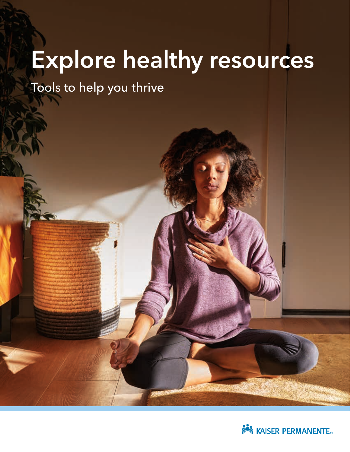# Explore healthy resources

Tools to help you thrive

**NEW KAISER PERMANENTE**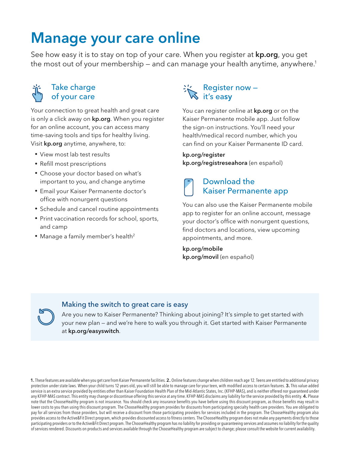### Manage your care online

See how easy it is to stay on top of your care. When you register at [kp.org](http://kp.org), you get the most out of your membership – and can manage your health anytime, anywhere.<sup>1</sup>



#### Take charge of your care

Your connection to great health and great care is only a click away on **[kp.org](http://kp.org)**. When you register for an online account, you can access many time-saving tools and tips for healthy living. Visit [kp.org](http://kp.org) anytime, anywhere, to:

- View most lab test results
- Refill most prescriptions
- Choose your doctor based on what's important to you, and change anytime
- Email your Kaiser Permanente doctor's office with nonurgent questions
- Schedule and cancel routine appointments
- Print vaccination records for school, sports, and camp
- Manage a family member's health<sup>2</sup>

#### Register now it's easy

You can register online at **[kp.org](http://kp.org)** or on the Kaiser Permanente mobile app. Just follow the sign-on instructions. You'll need your health/medical record number, which you can find on your Kaiser Permanente ID card.

### [kp.org/register](http://kp.org/register)

[kp.org/registreseahora](http://kp.org/registreseahora) (en español)

#### Download the Kaiser Permanente app

You can also use the Kaiser Permanente mobile app to register for an online account, message your doctor's office with nonurgent questions, find doctors and locations, view upcoming appointments, and more.

[kp.org/mobile](http://kp.org/mobile) [kp.org/movil](http://kp.org/movil) (en español)

#### Making the switch to great care is easy

Are you new to Kaiser Permanente? Thinking about joining? It's simple to get started with your new plan — and we're here to walk you through it. Get started with Kaiser Permanente at [kp.org/easyswitch](http://kp.org/easyswitch).

1. These features are available when you get care from Kaiser Permanente facilities. 2. Online features change when children reach age 12. Teens are entitled to additional privacy protection under state laws. When your child turns 12 years old, you will still be able to manage care for your teen, with modified access to certain features. 3. This value-added service is an extra service provided by entities other than Kaiser Foundation Health Plan of the Mid-Atlantic States, Inc. (KFHP-MAS), and is neither offered nor guaranteed under any KFHP-MAS contract. This entity may change or discontinue offering this service at any time. KFHP-MAS disclaims any liability for the service provided by this entity. 4. Please note that the ChooseHealthy program is not insurance. You should check any insurance benefits you have before using this discount program, as those benefits may result in lower costs to you than using this discount program. The ChooseHealthy program provides for discounts from participating specialty health care providers. You are obligated to pay for all services from those providers, but will receive a discount from those participating providers for services included in the program. The ChooseHealthy program also provides access to the Active&Fit Direct program, which provides discounted access to fitness centers. The ChooseHealthy program does not make any payments directly to those participating providers or to the Active&Fit Direct program. The ChooseHealthy program has no liability for providing or quaranteeing services and assumes no liability for the quality of services rendered. Discounts on products and services available through the ChooseHealthy program are subject to change; please consult the website for current availability.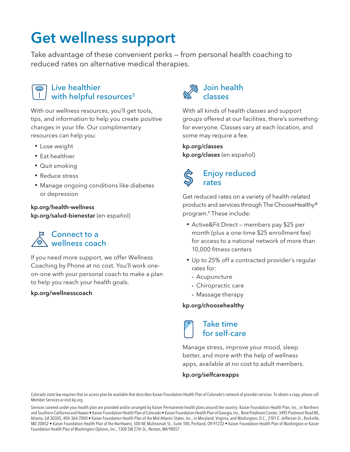## Get wellness support

Take advantage of these convenient perks — from personal health coaching to reduced rates on alternative medical therapies.



#### Live healthier with helpful resources<sup>3</sup>

With our wellness resources, you'll get tools, tips, and information to help you create positive changes in your life. Our complimentary resources can help you:

- Lose weight
- Eat healthier
- Quit smoking
- Reduce stress
- Manage ongoing conditions like diabetes or depression

#### [kp.org/health-wellness](http://kp.org/health-wellness) [kp.org/salud-bienestar](http://kp.org/salud-bienestar) (en español)

#### Connect to a wellness coach

If you need more support, we offer Wellness Coaching by Phone at no cost. You'll work oneon-one with your personal coach to make a plan to help you reach your health goals.

#### [kp.org/wellnesscoach](http://kp.org/wellnesscoach)



With all kinds of health classes and support groups offered at our facilities, there's something for everyone. Classes vary at each location, and some may require a fee.

#### [kp.org/classes](http://kp.org/classes)

[kp.org/clases](http://kp.org/clases) (en español)

#### Enjoy reduced rates

Get reduced rates on a variety of health-related products and services through The ChooseHealthy® program.4 These include:

- Active&Fit Direct members pay \$25 per month (plus a one-time \$25 enrollment fee) for access to a national network of more than 10,000 fitness centers
- Up to 25% off a contracted provider's regular rates for:
	- Acupuncture
	- Chiropractic care
	- Massage therapy

#### [kp.org/choosehealthy](http://kp.org/choosehealthy)

Take time for self-care

Manage stress, improve your mood, sleep better, and more with the help of wellness apps, available at no cost to adult members.

#### [kp.org/selfcareapps](http://kp.org/selfcareapps)

Colorado state law requires that an access plan be available that describes Kaiser Foundation Health Plan of Colorado's network of provider services. To obtain a copy, please call Member Services or visit kp.org.

Services covered under your health plan are provided and/or arranged by Kaiser Permanente health plans around the country: Kaiser Foundation Health Plan, Inc., in Northern and Southern California and Hawaii • Kaiser Foundation Health Plan of Colorado • Kaiser Foundation Health Plan of Georgia, Inc., Nine Piedmont Center, 3495 Piedmont Road NE, Atlanta, GA 30305, 404-364-7000 • Kaiser Foundation Health Plan of the Mid-Atlantic States, Inc., in Maryland, Virginia, and Washington, D.C., 2101 E. Jefferson St., Rockville, MD 20852 • Kaiser Foundation Health Plan of the Northwest, 500 NE Multnomah St., Suite 100, Portland, OR 97232 • Kaiser Foundation Health Plan of Washington or Kaiser Foundation Health Plan of Washington Options, Inc., 1300 SW 27th St., Renton, WA 98057